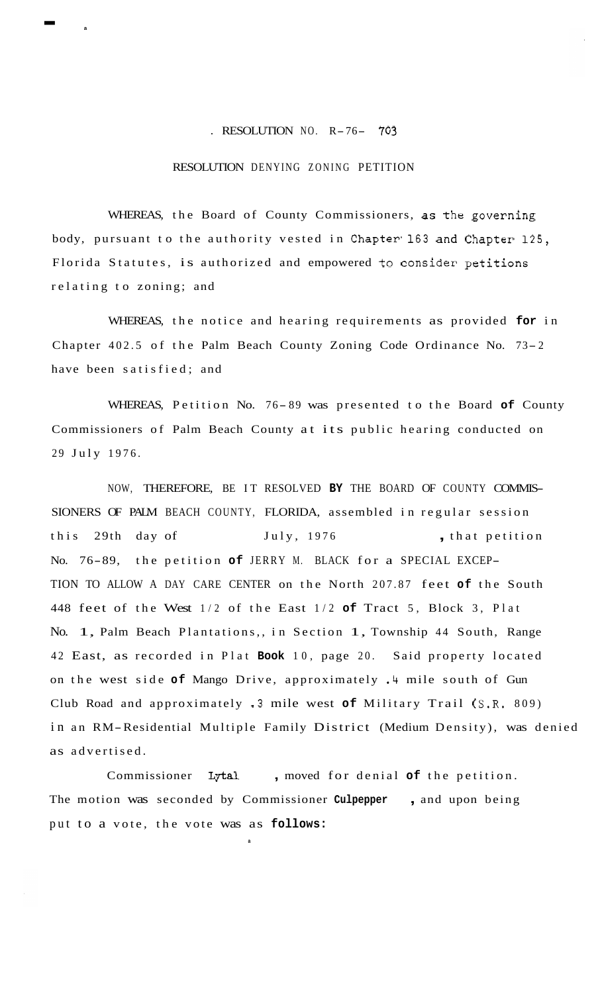## . RESOLUTION NO. R-76- **<sup>703</sup>**

## RESOLUTION DENYING ZONING PETITION

- **<sup>a</sup>**

WHEREAS, the Board of County Commissioners, **as** the governing body, pursuant to the authority vested in Chapter' 163 and Chapter 125, Florida Statutes, is authorized and empowered to consider petitions relating to zoning; and

WHEREAS, the notice and hearing requirements as provided **for** in Chapter 402.5 of the Palm Beach County Zoning Code Ordinance No. 73- <sup>2</sup> have been satisfied; and

WHEREAS, Petition No. 76-89 was presented to the Board of County Commissioners of Palm Beach County at its public hearing conducted on 29 July 1976.

NOW, THEREFORE, BE IT RESOLVED **BY** THE BOARD OF COUNTY COMMIS-SIONERS OF PALM BEACH COUNTY, FLORIDA, assembled in regular session this 29th day of July, 1976 , that petition No. 76-89, the petition **of** JERRY M. BLACK for a SPECIAL EXCEP-TION TO ALLOW A DAY CARE CENTER on the North 207.87 feet **of** the South 448 feet of the West 1/2 of the East 1/2 **of** Tract 5, Block 3, Plat No. 1, Palm Beach Plantations,, in Section 1, Township 44 South, Range 42 East, as recorded in Plat **Book** 10, page 20. Said property located on the west side **of** Mango Drive, approximately .4 mile south of Gun Club Road and approximately .3 mile west **of** Military Trail (S.R. 809) in an RM-Residential Multiple Family District (Medium Density), was denied as advertised.

Commissioner Lytal , moved for denial **of** the petition. The motion was seconded by Commissioner **Culpepper** , and upon being put to a vote, the vote was as **follows:** 

**a**